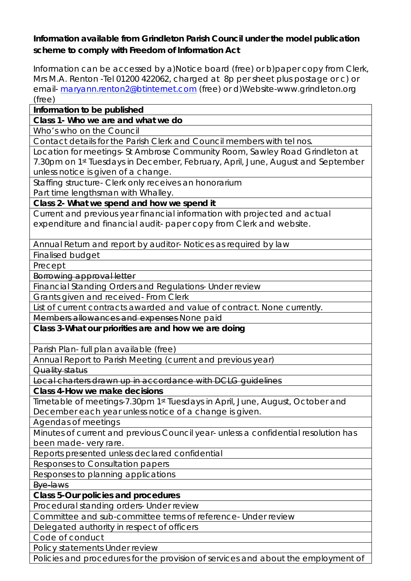## **Information available from Grindleton Parish Council under the model publication scheme to comply with Freedom of Information Act**

Information can be accessed by a)Notice board (free) or b)paper copy from Clerk, Mrs M.A. Renton -Tel 01200 422062, charged at 8p per sheet plus postage or c) or email- [maryann.renton2@btinternet.com](mailto:maryann.renton2@btinternet.com) (free) or d)Website-www.grindleton.org (free)

## **Information to be published**

**Class 1- Who we are and what we do** 

Who's who on the Council

Contact details for the Parish Clerk and Council members with tel nos.

Location for meetings- St Ambrose Community Room, Sawley Road Grindleton at 7.30pm on 1st Tuesdays in December, February, April, June, August and September unless notice is given of a change.

Staffing structure- Clerk only receives an honorarium

Part time lengthsman with Whalley.

**Class 2- What we spend and how we spend it** 

Current and previous year financial information with projected and actual expenditure and financial audit- paper copy from Clerk and website.

Annual Return and report by auditor- Notices as required by law

Finalised budget

Precept

Borrowing approval letter

Financial Standing Orders and Regulations- Under review

Grants given and received- From Clerk

List of current contracts awarded and value of contract. None currently.

Members allowances and expenses None paid

**Class 3-What our priorities are and how we are doing** 

Parish Plan- full plan available (free)

Annual Report to Parish Meeting (current and previous year)

Quality status

Local charters drawn up in accordance with DCLG guidelines

**Class 4-How we make decisions** 

Timetable of meetings-7.30pm 1st Tuesdays in April, June, August, October and December each year unless notice of a change is given.

Agendas of meetings

Minutes of current and previous Council year- unless a confidential resolution has been made- very rare.

Reports presented unless declared confidential

Responses to Consultation papers

Responses to planning applications

Bye-laws

**Class 5-Our policies and procedures** 

Procedural standing orders- Under review

Committee and sub-committee terms of reference- Under review

Delegated authority in respect of officers

Code of conduct

Policy statements Under review

Policies and procedures for the provision of services and about the employment of